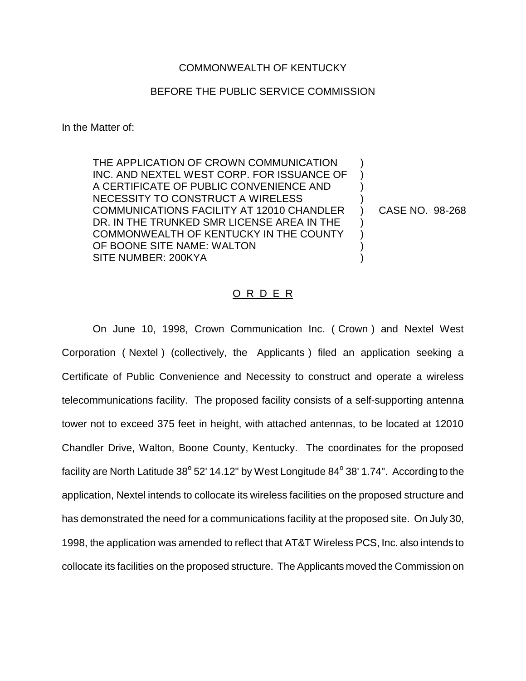## COMMONWEALTH OF KENTUCKY

## BEFORE THE PUBLIC SERVICE COMMISSION

In the Matter of:

THE APPLICATION OF CROWN COMMUNICATION INC. AND NEXTEL WEST CORP. FOR ISSUANCE OF A CERTIFICATE OF PUBLIC CONVENIENCE AND NECESSITY TO CONSTRUCT A WIRELESS COMMUNICATIONS FACILITY AT 12010 CHANDLER DR. IN THE TRUNKED SMR LICENSE AREA IN THE COMMONWEALTH OF KENTUCKY IN THE COUNTY OF BOONE SITE NAME: WALTON SITE NUMBER: 200KYA

CASE NO. 98-268

) ) ) ) ) ) ) ) )

## O R D E R

On June 10, 1998, Crown Communication Inc. ( Crown ) and Nextel West Corporation ( Nextel ) (collectively, the Applicants ) filed an application seeking a Certificate of Public Convenience and Necessity to construct and operate a wireless telecommunications facility. The proposed facility consists of a self-supporting antenna tower not to exceed 375 feet in height, with attached antennas, to be located at 12010 Chandler Drive, Walton, Boone County, Kentucky. The coordinates for the proposed facility are North Latitude  $38^{\circ}$  52' 14.12" by West Longitude  $84^{\circ}$  38' 1.74". According to the application, Nextel intends to collocate its wireless facilities on the proposed structure and has demonstrated the need for a communications facility at the proposed site. On July 30, 1998, the application was amended to reflect that AT&T Wireless PCS, Inc. also intends to collocate its facilities on the proposed structure. The Applicants moved the Commission on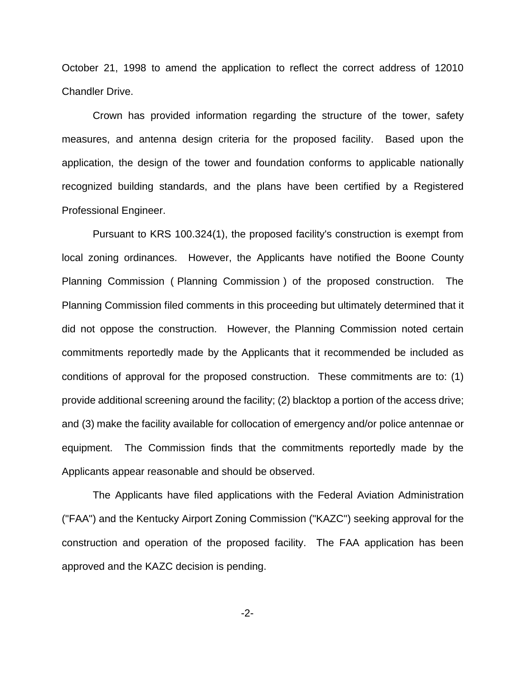October 21, 1998 to amend the application to reflect the correct address of 12010 Chandler Drive.

Crown has provided information regarding the structure of the tower, safety measures, and antenna design criteria for the proposed facility. Based upon the application, the design of the tower and foundation conforms to applicable nationally recognized building standards, and the plans have been certified by a Registered Professional Engineer.

Pursuant to KRS 100.324(1), the proposed facility's construction is exempt from local zoning ordinances. However, the Applicants have notified the Boone County Planning Commission ( Planning Commission ) of the proposed construction. The Planning Commission filed comments in this proceeding but ultimately determined that it did not oppose the construction. However, the Planning Commission noted certain commitments reportedly made by the Applicants that it recommended be included as conditions of approval for the proposed construction. These commitments are to: (1) provide additional screening around the facility; (2) blacktop a portion of the access drive; and (3) make the facility available for collocation of emergency and/or police antennae or equipment. The Commission finds that the commitments reportedly made by the Applicants appear reasonable and should be observed.

The Applicants have filed applications with the Federal Aviation Administration ("FAA") and the Kentucky Airport Zoning Commission ("KAZC") seeking approval for the construction and operation of the proposed facility. The FAA application has been approved and the KAZC decision is pending.

-2-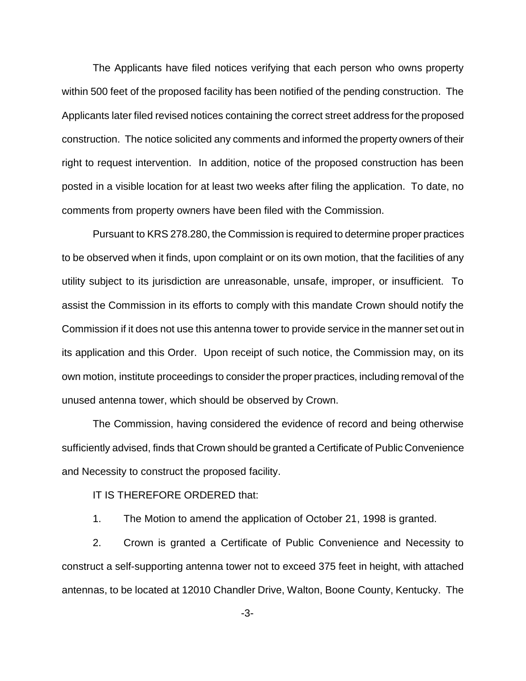The Applicants have filed notices verifying that each person who owns property within 500 feet of the proposed facility has been notified of the pending construction. The Applicants later filed revised notices containing the correct street address for the proposed construction. The notice solicited any comments and informed the property owners of their right to request intervention. In addition, notice of the proposed construction has been posted in a visible location for at least two weeks after filing the application. To date, no comments from property owners have been filed with the Commission.

Pursuant to KRS 278.280, the Commission is required to determine proper practices to be observed when it finds, upon complaint or on its own motion, that the facilities of any utility subject to its jurisdiction are unreasonable, unsafe, improper, or insufficient. To assist the Commission in its efforts to comply with this mandate Crown should notify the Commission if it does not use this antenna tower to provide service in the manner set out in its application and this Order. Upon receipt of such notice, the Commission may, on its own motion, institute proceedings to consider the proper practices, including removal of the unused antenna tower, which should be observed by Crown.

The Commission, having considered the evidence of record and being otherwise sufficiently advised, finds that Crown should be granted a Certificate of Public Convenience and Necessity to construct the proposed facility.

IT IS THEREFORE ORDERED that:

1. The Motion to amend the application of October 21, 1998 is granted.

2. Crown is granted a Certificate of Public Convenience and Necessity to construct a self-supporting antenna tower not to exceed 375 feet in height, with attached antennas, to be located at 12010 Chandler Drive, Walton, Boone County, Kentucky. The

-3-